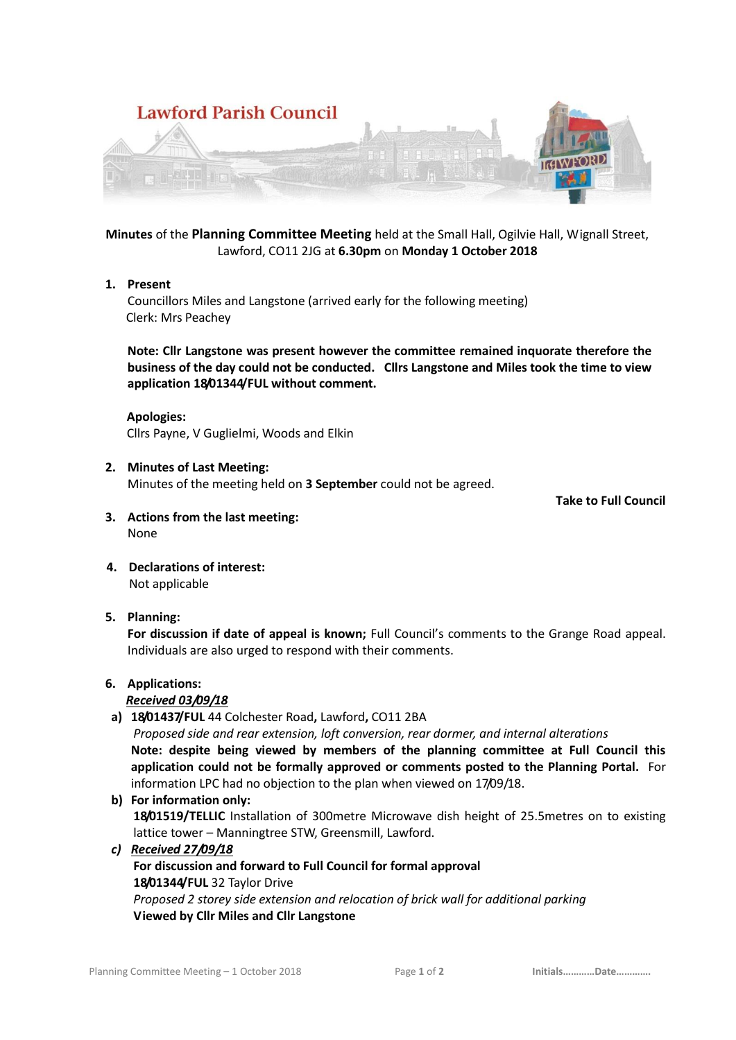



**Minutes** of the **Planning Committee Meeting** held at the Small Hall, Ogilvie Hall, Wignall Street, Lawford, CO11 2JG at **6.30pm** on **Monday 1 October 2018**

# **1. Present**

Councillors Miles and Langstone (arrived early for the following meeting) Clerk: Mrs Peachey

**Note: Cllr Langstone was present however the committee remained inquorate therefore the business of the day could not be conducted. Cllrs Langstone and Miles took the time to view application 18/01344/FUL without comment.**

### **Apologies:**

Cllrs Payne, V Guglielmi, Woods and Elkin

### **2. Minutes of Last Meeting:**

Minutes of the meeting held on **3 September** could not be agreed.

**Take to Full Council**

- **3. Actions from the last meeting:** None
- **4. Declarations of interest:** Not applicable

## **5. Planning:**

**For discussion if date of appeal is known;** Full Council's comments to the Grange Road appeal. Individuals are also urged to respond with their comments.

### **6. Applications:**

### *Received 03/09/18*

**a) 18/01437/FUL** 44 Colchester Road**,** Lawford**,** CO11 2BA

*Proposed side and rear extension, loft conversion, rear dormer, and internal alterations* **Note: despite being viewed by members of the planning committee at Full Council this application could not be formally approved or comments posted to the Planning Portal.** For information LPC had no objection to the plan when viewed on 17/09/18.

- **b) For information only: 18/01519/TELLIC** Installation of 300metre Microwave dish height of 25.5metres on to existing lattice tower – Manningtree STW, Greensmill, Lawford.
- *c) Received 27/09/18*

#### **For discussion and forward to Full Council for formal approval 18/01344/FUL** 32 Taylor Drive *Proposed 2 storey side extension and relocation of brick wall for additional parking* **Viewed by Cllr Miles and Cllr Langstone**